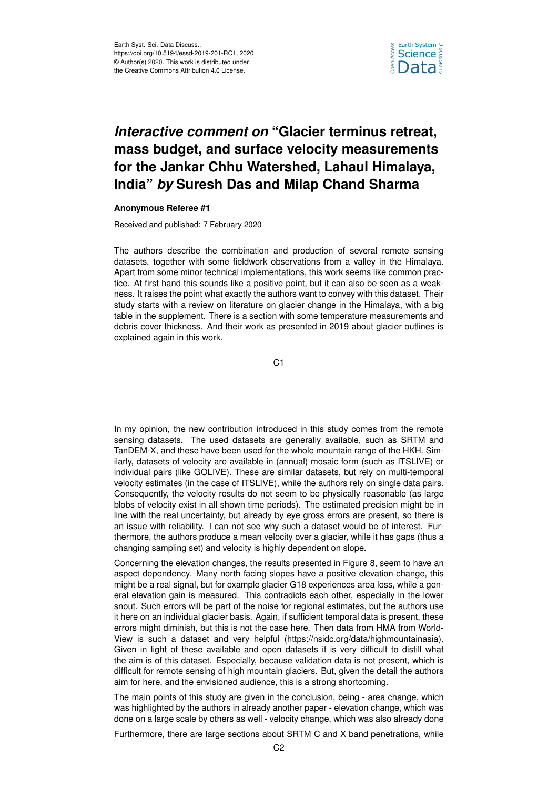

## *Interactive comment on* **"Glacier terminus retreat, mass budget, and surface velocity measurements for the Jankar Chhu Watershed, Lahaul Himalaya, India"** *by* **Suresh Das and Milap Chand Sharma**

## **Anonymous Referee #1**

Received and published: 7 February 2020

The authors describe the combination and production of several remote sensing datasets, together with some fieldwork observations from a valley in the Himalaya. Apart from some minor technical implementations, this work seems like common practice. At first hand this sounds like a positive point, but it can also be seen as a weakness. It raises the point what exactly the authors want to convey with this dataset. Their study starts with a review on literature on glacier change in the Himalaya, with a big table in the supplement. There is a section with some temperature measurements and debris cover thickness. And their work as presented in 2019 about glacier outlines is explained again in this work.

C1

In my opinion, the new contribution introduced in this study comes from the remote sensing datasets. The used datasets are generally available, such as SRTM and TanDEM-X, and these have been used for the whole mountain range of the HKH. Similarly, datasets of velocity are available in (annual) mosaic form (such as ITSLIVE) or individual pairs (like GOLIVE). These are similar datasets, but rely on multi-temporal velocity estimates (in the case of ITSLIVE), while the authors rely on single data pairs. Consequently, the velocity results do not seem to be physically reasonable (as large blobs of velocity exist in all shown time periods). The estimated precision might be in line with the real uncertainty, but already by eye gross errors are present, so there is an issue with reliability. I can not see why such a dataset would be of interest. Furthermore, the authors produce a mean velocity over a glacier, while it has gaps (thus a changing sampling set) and velocity is highly dependent on slope.

Concerning the elevation changes, the results presented in Figure 8, seem to have an aspect dependency. Many north facing slopes have a positive elevation change, this might be a real signal, but for example glacier G18 experiences area loss, while a general elevation gain is measured. This contradicts each other, especially in the lower snout. Such errors will be part of the noise for regional estimates, but the authors use it here on an individual glacier basis. Again, if sufficient temporal data is present, these errors might diminish, but this is not the case here. Then data from HMA from World-View is such a dataset and very helpful (https://nsidc.org/data/highmountainasia). Given in light of these available and open datasets it is very difficult to distill what the aim is of this dataset. Especially, because validation data is not present, which is difficult for remote sensing of high mountain glaciers. But, given the detail the authors aim for here, and the envisioned audience, this is a strong shortcoming.

The main points of this study are given in the conclusion, being - area change, which was highlighted by the authors in already another paper - elevation change, which was done on a large scale by others as well - velocity change, which was also already done

Furthermore, there are large sections about SRTM C and X band penetrations, while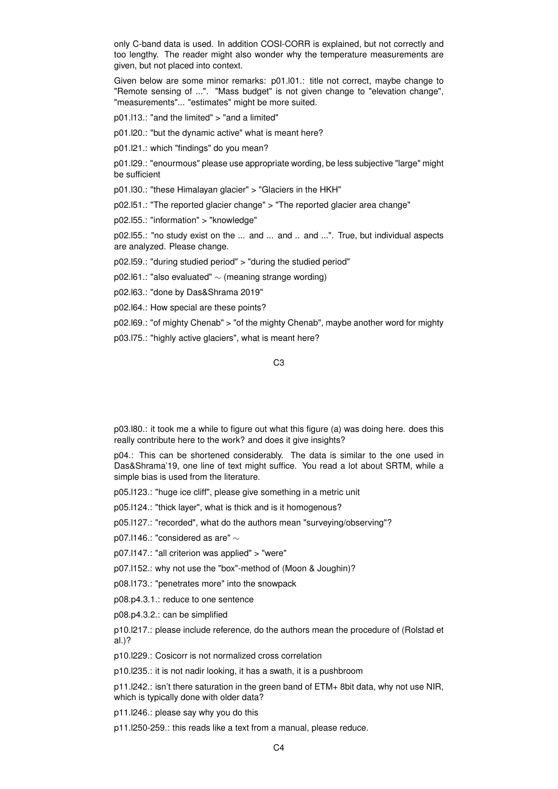only C-band data is used. In addition COSI-CORR is explained, but not correctly and too lengthy. The reader might also wonder why the temperature measurements are given, but not placed into context.

Given below are some minor remarks: p01.l01.: title not correct, maybe change to "Remote sensing of ...". "Mass budget" is not given change to "elevation change", "measurements"... "estimates" might be more suited.

p01.l13.: "and the limited" > "and a limited"

p01.l20.: "but the dynamic active" what is meant here?

p01.l21.: which "findings" do you mean?

p01.l29.: "enourmous" please use appropriate wording, be less subjective "large" might be sufficient

p01.l30.: "these Himalayan glacier" > "Glaciers in the HKH"

p02.l51.: "The reported glacier change" > "The reported glacier area change"

p02.l55.: "information" > "knowledge"

p02.l55.: "no study exist on the ... and ... and .. and ...". True, but individual aspects are analyzed. Please change.

p02.l59.: "during studied period" > "during the studied period"

p02.l61.: "also evaluated" ∼ (meaning strange wording)

p02.l63.: "done by Das&Shrama 2019"

p02.l64.: How special are these points?

p02.l69.: "of mighty Chenab" > "of the mighty Chenab", maybe another word for mighty

p03.l75.: "highly active glaciers", what is meant here?

C3

p03.l80.: it took me a while to figure out what this figure (a) was doing here. does this really contribute here to the work? and does it give insights?

p04.: This can be shortened considerably. The data is similar to the one used in Das&Shrama'19, one line of text might suffice. You read a lot about SRTM, while a simple bias is used from the literature.

p05.l123.: "huge ice cliff", please give something in a metric unit

p05.l124.: "thick layer", what is thick and is it homogenous?

p05.l127.: "recorded", what do the authors mean "surveying/observing"?

p07.l146.: "considered as are" ∼

p07.l147.: "all criterion was applied" > "were"

p07.l152.: why not use the "box"-method of (Moon & Joughin)?

p08.l173.: "penetrates more" into the snowpack

p08.p4.3.1.: reduce to one sentence

p08.p4.3.2.: can be simplified

p10.l217.: please include reference, do the authors mean the procedure of (Rolstad et al.)?

p10.l229.: Cosicorr is not normalized cross correlation

p10.l235.: it is not nadir looking, it has a swath, it is a pushbroom

p11.l242.: isn't there saturation in the green band of ETM+ 8bit data, why not use NIR, which is typically done with older data?

p11.l246.: please say why you do this

p11.l250-259.: this reads like a text from a manual, please reduce.